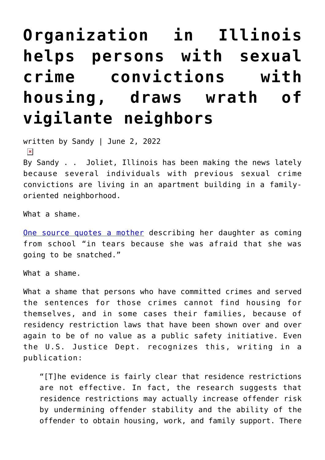## **[Organization in Illinois](https://narsol.org/2022/06/organization-in-illinois-helps-persons-with-sexual-crime-convictions-with-housing-draws-wrath-of-vigilante-neighbors/) [helps persons with sexual](https://narsol.org/2022/06/organization-in-illinois-helps-persons-with-sexual-crime-convictions-with-housing-draws-wrath-of-vigilante-neighbors/) [crime convictions with](https://narsol.org/2022/06/organization-in-illinois-helps-persons-with-sexual-crime-convictions-with-housing-draws-wrath-of-vigilante-neighbors/) [housing, draws wrath of](https://narsol.org/2022/06/organization-in-illinois-helps-persons-with-sexual-crime-convictions-with-housing-draws-wrath-of-vigilante-neighbors/) [vigilante neighbors](https://narsol.org/2022/06/organization-in-illinois-helps-persons-with-sexual-crime-convictions-with-housing-draws-wrath-of-vigilante-neighbors/)**

written by Sandy | June 2, 2022  $\pmb{\times}$ 

By Sandy . . Joliet, Illinois has been making the news lately because several individuals with previous sexual crime convictions are living in an apartment building in a familyoriented neighborhood.

What a shame.

[One source quotes a mother](https://www.shawlocal.com/the-herald-news/news/2022/06/02/neighbors-search-for-answers-on-sex-offender-house-near-their-joliet-homes/) describing her daughter as coming from school "in tears because she was afraid that she was going to be snatched."

What a shame.

What a shame that persons who have committed crimes and served the sentences for those crimes cannot find housing for themselves, and in some cases their families, because of residency restriction laws that have been shown over and over again to be of no value as a public safety initiative. Even the U.S. Justice Dept. recognizes this, writing in a publication:

"[T]he evidence is fairly clear that residence restrictions are not effective. In fact, the research suggests that residence restrictions may actually increase offender risk by undermining offender stability and the ability of the offender to obtain housing, work, and family support. There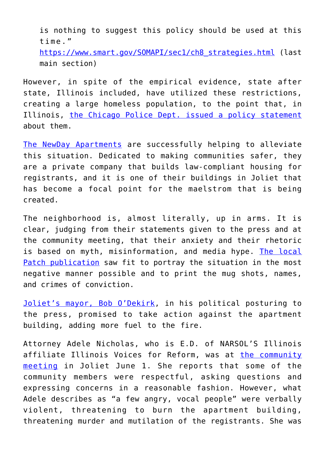is nothing to suggest this policy should be used at this time." [https://www.smart.gov/SOMAPI/sec1/ch8\\_strategies.html](https://www.smart.gov/SOMAPI/sec1/ch8_strategies.html) (last main section)

However, in spite of the empirical evidence, state after state, Illinois included, have utilized these restrictions, creating a large homeless population, to the point that, in Illinois, [the Chicago Police Dept. issued a policy statement](https://publicsearch2.chicagopolice.org/homelessrso) about them.

[The NewDay Apartments](https://www.newdayapartments.com/newday-for-communities) are successfully helping to alleviate this situation. Dedicated to making communities safer, they are a private company that builds law-compliant housing for registrants, and it is one of their buildings in Joliet that has become a focal point for the maelstrom that is being created.

The neighborhood is, almost literally, up in arms. It is clear, judging from their statements given to the press and at the community meeting, that their anxiety and their rhetoric is based on myth, misinformation, and media hype. [The local](https://patch.com/illinois/joliet/5-sexual-predators-move-joliet-west-side-neighborhood) [Patch publication](https://patch.com/illinois/joliet/5-sexual-predators-move-joliet-west-side-neighborhood) saw fit to portray the situation in the most negative manner possible and to print the mug shots, names, and crimes of conviction.

[Joliet's mayor, Bob O'Dekirk,](https://www.nbcchicago.com/news/local/joliet-mayor-demands-answers-over-building-that-houses-multiple-sex-offenders/2846589/) in his political posturing to the press, promised to take action against the apartment building, adding more fuel to the fire.

Attorney Adele Nicholas, who is E.D. of NARSOL'S Illinois affiliate Illinois Voices for Reform, was at [the community](https://www.shawlocal.com/the-herald-news/news/2022/06/02/neighbors-search-for-answers-on-sex-offender-house-near-their-joliet-homes/) [meeting](https://www.shawlocal.com/the-herald-news/news/2022/06/02/neighbors-search-for-answers-on-sex-offender-house-near-their-joliet-homes/) in Joliet June 1. She reports that some of the community members were respectful, asking questions and expressing concerns in a reasonable fashion. However, what Adele describes as "a few angry, vocal people" were verbally violent, threatening to burn the apartment building, threatening murder and mutilation of the registrants. She was